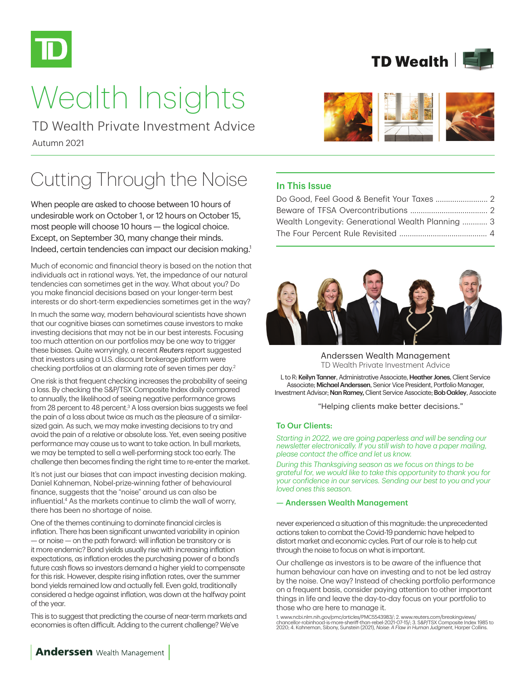

# Wealth Insights

Autumn 2021 TD Wealth Private Investment Advice

# Cutting Through the Noise

When people are asked to choose between 10 hours of undesirable work on October 1, or 12 hours on October 15, most people will choose 10 hours — the logical choice. Except, on September 30, many change their minds. Indeed, certain tendencies can impact our decision making.<sup>1</sup>

Much of economic and financial theory is based on the notion that individuals act in rational ways. Yet, the impedance of our natural tendencies can sometimes get in the way. What about you? Do you make financial decisions based on your longer-term best interests or do short-term expediencies sometimes get in the way?

In much the same way, modern behavioural scientists have shown that our cognitive biases can sometimes cause investors to make investing decisions that may not be in our best interests. Focusing too much attention on our portfolios may be one way to trigger these biases. Quite worryingly, a recent *Reuters* report suggested that investors using a U.S. discount brokerage platform were checking portfolios at an alarming rate of seven times per day.2

One risk is that frequent checking increases the probability of seeing a loss. By checking the S&P/TSX Composite Index daily compared to annually, the likelihood of seeing negative performance grows from 28 percent to 48 percent.<sup>3</sup> A loss aversion bias suggests we feel the pain of a loss about twice as much as the pleasure of a similarsized gain. As such, we may make investing decisions to try and avoid the pain of a relative or absolute loss. Yet, even seeing positive performance may cause us to want to take action. In bull markets, we may be tempted to sell a well-performing stock too early. The challenge then becomes finding the right time to re-enter the market.

It's not just our biases that can impact investing decision making. Daniel Kahneman, Nobel-prize-winning father of behavioural finance, suggests that the "noise" around us can also be influential.4 As the markets continue to climb the wall of worry, there has been no shortage of noise.

One of the themes continuing to dominate financial circles is inflation. There has been significant unwanted variability in opinion — or noise — on the path forward: will inflation be transitory or is it more endemic? Bond yields usually rise with increasing inflation expectations, as inflation erodes the purchasing power of a bond's future cash flows so investors demand a higher yield to compensate for this risk. However, despite rising inflation rates, over the summer bond yields remained low and actually fell. Even gold, traditionally considered a hedge against inflation, was down at the halfway point of the year.

This is to suggest that predicting the course of near-term markets and economies is often difficult. Adding to the current challenge? We've





# In This Issue

| Do Good, Feel Good & Benefit Your Taxes  2        |  |
|---------------------------------------------------|--|
|                                                   |  |
| Wealth Longevity: Generational Wealth Planning  3 |  |
|                                                   |  |



Anderssen Wealth Management TD Wealth Private Investment Advice

L to R: Keilyn Tanner, Administrative Associate, Heather Jones, Client Service Associate; Michael Anderssen, Senior Vice President, Portfolio Manager, Investment Advisor; Nan Ramey, Client Service Associate; Bob Oakley, Associate

"Helping clients make better decisions."

#### To Our Clients:

*Starting in 2022, we are going paperless and will be sending our newsletter electronically. If you still wish to have a paper mailing, please contact the office and let us know.*

*During this Thanksgiving season as we focus on things to be grateful for, we would like to take this opportunity to thank you for your confidence in our services. Sending our best to you and your loved ones this season.* 

### — Anderssen Wealth Management

never experienced a situation of this magnitude: the unprecedented actions taken to combat the Covid-19 pandemic have helped to distort market and economic cycles. Part of our role is to help cut through the noise to focus on what is important.

Our challenge as investors is to be aware of the influence that human behaviour can have on investing and to not be led astray by the noise. One way? Instead of checking portfolio performance on a frequent basis, consider paying attention to other important things in life and leave the day-to-day focus on your portfolio to those who are here to manage it.

1. www.ncbi.nlm.nih.gov/pmc/articles/PMC5543983/; 2. www.reuters.com/breakingviews/<br>chancellor-robinhood-is-more-sheriff-than-rebel-2021-07-15/; 3. S&P/TSX Composite Index 1985 to<br>2020; 4. Kahneman, Sibony, Sunstein (2021)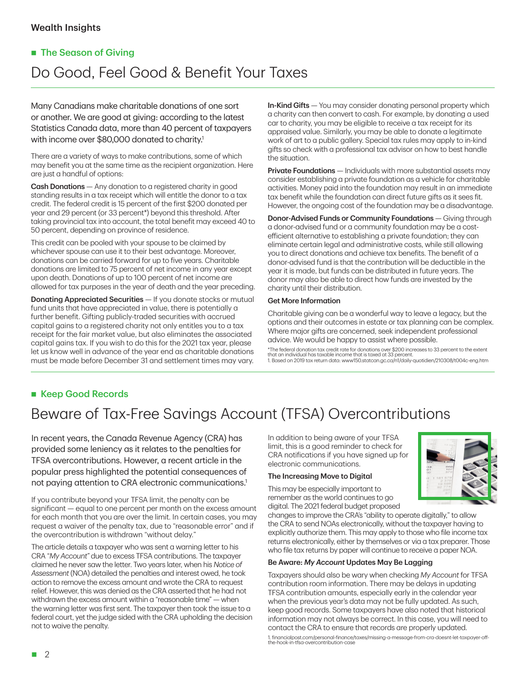# **The Season of Giving**

# Do Good, Feel Good & Benefit Your Taxes

Many Canadians make charitable donations of one sort or another. We are good at giving: according to the latest Statistics Canada data, more than 40 percent of taxpayers with income over \$80,000 donated to charity.<sup>1</sup>

There are a variety of ways to make contributions, some of which may benefit you at the same time as the recipient organization. Here are just a handful of options:

Cash Donations — Any donation to a registered charity in good standing results in a tax receipt which will entitle the donor to a tax credit. The federal credit is 15 percent of the first \$200 donated per year and 29 percent (or 33 percent\*) beyond this threshold. After taking provincial tax into account, the total benefit may exceed 40 to 50 percent, depending on province of residence.

This credit can be pooled with your spouse to be claimed by whichever spouse can use it to their best advantage. Moreover, donations can be carried forward for up to five years. Charitable donations are limited to 75 percent of net income in any year except upon death. Donations of up to 100 percent of net income are allowed for tax purposes in the year of death and the year preceding.

**Donating Appreciated Securities** - If you donate stocks or mutual fund units that have appreciated in value, there is potentially a further benefit. Gifting publicly-traded securities with accrued capital gains to a registered charity not only entitles you to a tax receipt for the fair market value, but also eliminates the associated capital gains tax. If you wish to do this for the 2021 tax year, please let us know well in advance of the year end as charitable donations must be made before December 31 and settlement times may vary.

In-Kind Gifts — You may consider donating personal property which a charity can then convert to cash. For example, by donating a used car to charity, you may be eligible to receive a tax receipt for its appraised value. Similarly, you may be able to donate a legitimate work of art to a public gallery. Special tax rules may apply to in-kind gifts so check with a professional tax advisor on how to best handle the situation.

**Private Foundations** — Individuals with more substantial assets may consider establishing a private foundation as a vehicle for charitable activities. Money paid into the foundation may result in an immediate tax benefit while the foundation can direct future gifts as it sees fit. However, the ongoing cost of the foundation may be a disadvantage.

Donor-Advised Funds or Community Foundations — Giving through a donor-advised fund or a community foundation may be a costefficient alternative to establishing a private foundation; they can eliminate certain legal and administrative costs, while still allowing you to direct donations and achieve tax benefits. The benefit of a donor-advised fund is that the contribution will be deductible in the year it is made, but funds can be distributed in future years. The donor may also be able to direct how funds are invested by the charity until their distribution.

#### Get More Information

Charitable giving can be a wonderful way to leave a legacy, but the options and their outcomes in estate or tax planning can be complex. Where major gifts are concerned, seek independent professional advice. We would be happy to assist where possible.

\*The federal donation tax credit rate for donations over \$200 increases to 33 percent to the extent that an individual has taxable income that is taxed at 33 percent. 1. Based on 2019 tax return data: www150.statcan.gc.ca/n1/daily-quotidien/210308/t004c-eng.htm

## ■ Keep Good Records

# Beware of Tax-Free Savings Account (TFSA) Overcontributions

In recent years, the Canada Revenue Agency (CRA) has provided some leniency as it relates to the penalties for TFSA overcontributions. However, a recent article in the popular press highlighted the potential consequences of not paying attention to CRA electronic communications.1

If you contribute beyond your TFSA limit, the penalty can be significant — equal to one percent per month on the excess amount for each month that you are over the limit. In certain cases, you may request a waiver of the penalty tax, due to "reasonable error" and if the overcontribution is withdrawn "without delay."

The article details a taxpayer who was sent a warning letter to his CRA "*My Account"* due to excess TFSA contributions. The taxpayer claimed he never saw the letter. Two years later, when his *Notice of Assessment* (NOA) detailed the penalties and interest owed, he took action to remove the excess amount and wrote the CRA to request relief. However, this was denied as the CRA asserted that he had not withdrawn the excess amount within a "reasonable time" — when the warning letter was first sent. The taxpayer then took the issue to a federal court, yet the judge sided with the CRA upholding the decision not to waive the penalty.

In addition to being aware of your TFSA limit, this is a good reminder to check for CRA notifications if you have signed up for electronic communications.

#### The Increasing Move to Digital

This may be especially important to remember as the world continues to go digital. The 2021 federal budget proposed



changes to improve the CRA's "ability to operate digitally," to allow the CRA to send NOAs electronically, without the taxpayer having to explicitly authorize them. This may apply to those who file income tax returns electronically, either by themselves or via a tax preparer. Those who file tax returns by paper will continue to receive a paper NOA.

#### Be Aware: *My Account* Updates May Be Lagging

Taxpayers should also be wary when checking *My Account* for TFSA contribution room information. There may be delays in updating TFSA contribution amounts, especially early in the calendar year when the previous year's data may not be fully updated. As such, keep good records. Some taxpayers have also noted that historical information may not always be correct. In this case, you will need to contact the CRA to ensure that records are properly updated.

1. financialpost.com/personal-finance/taxes/missing-a-message-from-cra-doesnt-let-taxpayer-offthe-hook-in-tfsa-overcontribution-case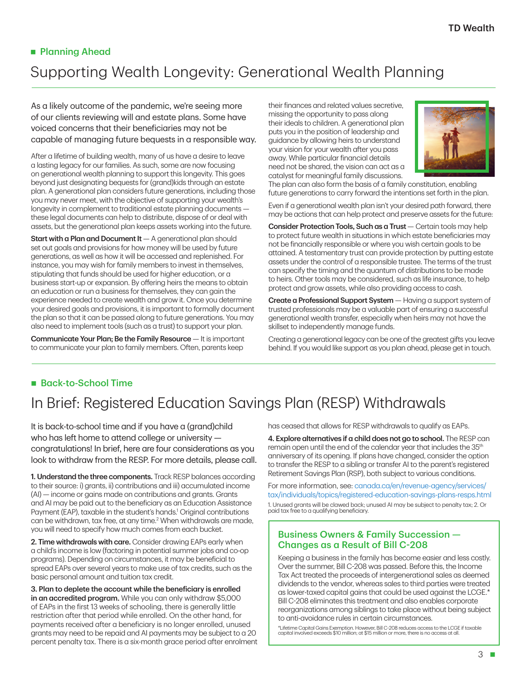# **Planning Ahead** Supporting Wealth Longevity: Generational Wealth Planning

As a likely outcome of the pandemic, we're seeing more of our clients reviewing will and estate plans. Some have voiced concerns that their beneficiaries may not be capable of managing future bequests in a responsible way.

After a lifetime of building wealth, many of us have a desire to leave a lasting legacy for our families. As such, some are now focusing on generational wealth planning to support this longevity. This goes beyond just designating bequests for (grand)kids through an estate plan. A generational plan considers future generations, including those you may never meet, with the objective of supporting your wealth's longevity in complement to traditional estate planning documents these legal documents can help to distribute, dispose of or deal with assets, but the generational plan keeps assets working into the future.

**Start with a Plan and Document It**  $-$  A generational plan should set out goals and provisions for how money will be used by future generations, as well as how it will be accessed and replenished. For instance, you may wish for family members to invest in themselves, stipulating that funds should be used for higher education, or a business start-up or expansion. By offering heirs the means to obtain an education or run a business for themselves, they can gain the experience needed to create wealth and grow it. Once you determine your desired goals and provisions, it is important to formally document the plan so that it can be passed along to future generations. You may also need to implement tools (such as a trust) to support your plan.

Communicate Your Plan; Be the Family Resource — It is important to communicate your plan to family members. Often, parents keep their finances and related values secretive, missing the opportunity to pass along their ideals to children. A generational plan puts you in the position of leadership and guidance by allowing heirs to understand your vision for your wealth after you pass away. While particular financial details need not be shared, the vision can act as a catalyst for meaningful family discussions.



The plan can also form the basis of a family constitution, enabling future generations to carry forward the intentions set forth in the plan.

Even if a generational wealth plan isn't your desired path forward, there may be actions that can help protect and preserve assets for the future:

Consider Protection Tools, Such as a Trust — Certain tools may help to protect future wealth in situations in which estate beneficiaries may not be financially responsible or where you wish certain goals to be attained. A testamentary trust can provide protection by putting estate assets under the control of a responsible trustee. The terms of the trust can specify the timing and the quantum of distributions to be made to heirs. Other tools may be considered, such as life insurance, to help protect and grow assets, while also providing access to cash.

Create a Professional Support System — Having a support system of trusted professionals may be a valuable part of ensuring a successful generational wealth transfer, especially when heirs may not have the skillset to independently manage funds.

Creating a generational legacy can be one of the greatest gifts you leave behind. If you would like support as you plan ahead, please get in touch.

## ■ Back-to-School Time

# In Brief: Registered Education Savings Plan (RESP) Withdrawals

It is back-to-school time and if you have a (grand)child who has left home to attend college or university congratulations! In brief, here are four considerations as you look to withdraw from the RESP. For more details, please call.

1. Understand the three components. Track RESP balances according to their source: i) grants, ii) contributions and iii) accumulated income (AI) — income or gains made on contributions and grants. Grants and AI may be paid out to the beneficiary as an Education Assistance Payment (EAP), taxable in the student's hands.<sup>1</sup> Original contributions can be withdrawn, tax free, at any time.<sup>2</sup> When withdrawals are made, you will need to specify how much comes from each bucket.

2. Time withdrawals with care. Consider drawing EAPs early when a child's income is low (factoring in potential summer jobs and co-op programs). Depending on circumstances, it may be beneficial to spread EAPs over several years to make use of tax credits, such as the basic personal amount and tuition tax credit.

3. Plan to deplete the account while the beneficiary is enrolled in an accredited program. While you can only withdraw \$5,000 of EAPs in the first 13 weeks of schooling, there is generally little restriction after that period while enrolled. On the other hand, for payments received after a beneficiary is no longer enrolled, unused grants may need to be repaid and AI payments may be subject to a 20 percent penalty tax. There is a six-month grace period after enrolment has ceased that allows for RESP withdrawals to qualify as EAPs.

4. Explore alternatives if a child does not go to school. The RESP can remain open until the end of the calendar year that includes the 35<sup>th</sup> anniversary of its opening. If plans have changed, consider the option to transfer the RESP to a sibling or transfer AI to the parent's registered Retirement Savings Plan (RSP), both subject to various conditions.

For more information, see: [canada.ca/en/revenue-agency/services/](http://canada.ca/en/revenue-agency/services/tax/individuals/topics/registered-education-savings-plans-resps.html) [tax/individuals/topics/registered-education-savings-plans-resps.html](http://canada.ca/en/revenue-agency/services/tax/individuals/topics/registered-education-savings-plans-resps.html) 1. Unused grants will be clawed back; unused AI may be subject to penalty tax; 2. Or paid tax free to a qualifying beneficiary.

### Business Owners & Family Succession — Changes as a Result of Bill C-208

Keeping a business in the family has become easier and less costly. Over the summer, Bill C-208 was passed. Before this, the Income Tax Act treated the proceeds of intergenerational sales as deemed dividends to the vendor, whereas sales to third parties were treated as lower-taxed capital gains that could be used against the LCGE.\* Bill C-208 eliminates this treatment and also enables corporate reorganizations among siblings to take place without being subject to anti-avoidance rules in certain circumstances.

\*Lifetime Capital Gains Exemption. However, Bill C-208 reduces access to the LCGE if taxable capital involved exceeds \$10 million; at \$15 million or more, there is no access at all.